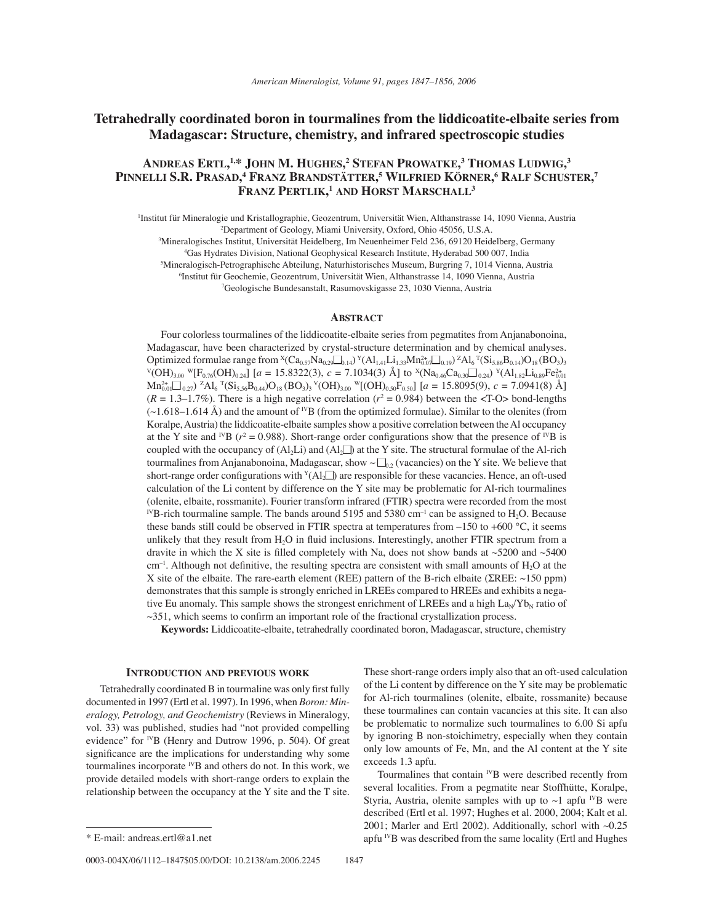# **Tetrahedrally coordinated boron in tourmalines from the liddicoatite-elbaite series from Madagascar: Structure, chemistry, and infrared spectroscopic studies**

# **ANDREAS ERTL, 1,\* JOHN M. HUGHES, 2 STEFAN PROWATKE, 3 THOMAS LUDWIG, 3**   $\mathbf{PINNELLI\ S.R.}\ \mathbf{PRASAD,^4}\ \mathbf{FRANZ}\ \mathbf{BRANDSTÄTTER,^5}\ \mathbf{WILFRIED}\ \mathbf{KÖRNER,^6}\ \mathbf{RALF}\ \mathbf{SCHUSTER,^7}\ \mathbf{RARI}$ **FRANZ PERTLIK, <sup>1</sup> AND HORST MARSCHALL3**

Institut für Mineralogie und Kristallographie, Geozentrum, Universität Wien, Althanstrasse 14, 1090 Vienna, Austria 2 Department of Geology, Miami University, Oxford, Ohio 45056, U.S.A.

3 Mineralogisches Institut, Universit‰t Heidelberg, Im Neuenheimer Feld 236, 69120 Heidelberg, Germany

4 Gas Hydrates Division, National Geophysical Research Institute, Hyderabad 500 007, India

5 Mineralogisch-Petrographische Abteilung, Naturhistorisches Museum, Burgring 7, 1014 Vienna, Austria

<sup>6</sup>Institut für Geochemie, Geozentrum, Universität Wien, Althanstrasse 14, 1090 Vienna, Austria

7 Geologische Bundesanstalt, Rasumovskigasse 23, 1030 Vienna, Austria

# **ABSTRACT**

Four colorless tourmalines of the liddicoatite-elbaite series from pegmatites from Anjanabonoina, Madagascar, have been characterized by crystal-structure determination and by chemical analyses. Optimized formulae range from  ${}^{\text{X}}\text{Ca}_{0.57}\text{Na}_{0.29}\text{a}_{0.14}$ )  ${}^{\text{Y}}\text{(Al}_{1.41}\text{Li}_{1.33}\text{Mn}_{0.07}^{2+}\text{a}_{0.19})$ <sup>Z</sup>Al<sub>6</sub><sup>T</sup>(Si<sub>5.86</sub>B<sub>0.14</sub>)O<sub>18</sub>(BO<sub>3</sub>)<sub>3</sub>  $V(OH)_{3.00}$   $V[F_{0.76}(OH)_{0.24}]$  [ $a = 15.8322(3)$ ,  $c = 7.1034(3)$  Å] to  $X(Na_{0.46}Ca_{0.30}\square_{0.24})$   $Y(A1_{1.82}Li_{0.89}Fe_{0.014}^{2+1.2})$  $\text{Mn}_{0.01}^{2+} \square_{0.27}$ ) <sup>7</sup>Al<sub>6</sub> <sup>T</sup>(Si<sub>5.56</sub>B<sub>0.44</sub>)O<sub>18</sub> (BO<sub>3</sub>)<sub>3</sub> <sup>V</sup>(OH)<sub>3.00</sub> <sup>W</sup>[(OH)<sub>0.50</sub>F<sub>0.50</sub>] [*a* = 15.8095(9), *c* = 7.0941(8) Å]  $(R = 1.3 - 1.7\%)$ . There is a high negative correlation ( $r^2 = 0.984$ ) between the <T-O> bond-lengths  $(\sim 1.618 - 1.614 \text{ Å})$  and the amount of <sup>IV</sup>B (from the optimized formulae). Similar to the olenites (from Koralpe, Austria) the liddicoatite-elbaite samples show a positive correlation between the Al occupancy at the Y site and <sup>IV</sup>B ( $r^2 = 0.988$ ). Short-range order configurations show that the presence of <sup>IV</sup>B is coupled with the occupancy of  $(A_1L)$  and  $(A_1L)$  at the Y site. The structural formulae of the Al-rich tourmalines from Anjanabonoina, Madagascar, show  $\sim \Box_{0,2}$  (vacancies) on the Y site. We believe that short-range order configurations with  $Y(Al_2\Box)$  are responsible for these vacancies. Hence, an oft-used calculation of the Li content by difference on the Y site may be problematic for Al-rich tourmalines (olenite, elbaite, rossmanite). Fourier transform infrared (FTIR) spectra were recorded from the most <sup>IV</sup>B-rich tourmaline sample. The bands around 5195 and 5380 cm<sup>-1</sup> can be assigned to H<sub>2</sub>O. Because these bands still could be observed in FTIR spectra at temperatures from  $-150$  to +600 °C, it seems unlikely that they result from  $H_2O$  in fluid inclusions. Interestingly, another FTIR spectrum from a dravite in which the X site is filled completely with Na, does not show bands at  $\sim$  5200 and  $\sim$  5400  $cm<sup>-1</sup>$ . Although not definitive, the resulting spectra are consistent with small amounts of  $H<sub>2</sub>O$  at the X site of the elbaite. The rare-earth element (REE) pattern of the B-rich elbaite (ΣREE: ~150 ppm) demonstrates that this sample is strongly enriched in LREEs compared to HREEs and exhibits a negative Eu anomaly. This sample shows the strongest enrichment of LREEs and a high  $\text{La}_{\text{N}}/\text{Yb}_{\text{N}}$  ratio of  $\sim$ 351, which seems to confirm an important role of the fractional crystallization process.

**Keywords:** Liddicoatite-elbaite, tetrahedrally coordinated boron, Madagascar, structure, chemistry

## **INTRODUCTION AND PREVIOUS WORK**

Tetrahedrally coordinated B in tourmaline was only first fully documented in 1997 (Ertl et al. 1997). In 1996, when *Boron: Mineralogy, Petrology, and Geochemistry* (Reviews in Mineralogy, vol. 33) was published, studies had "not provided compelling evidence" for <sup>IV</sup>B (Henry and Dutrow 1996, p. 504). Of great significance are the implications for understanding why some tourmalines incorporate  $^{IV}B$  and others do not. In this work, we provide detailed models with short-range orders to explain the relationship between the occupancy at the Y site and the T site.

Tourmalines that contain  $^{IV}B$  were described recently from several localities. From a pegmatite near Stoffhütte, Koralpe, Styria, Austria, olenite samples with up to  $\sim$ 1 apfu <sup>IV</sup>B were described (Ertl et al. 1997; Hughes et al. 2000, 2004; Kalt et al. 2001; Marler and Ertl 2002). Additionally, schorl with ~0.25 \* E-mail: andreas.ertl@a1.net IVB was described from the same locality (Ertl and Hughes

These short-range orders imply also that an oft-used calculation of the Li content by difference on the Y site may be problematic for Al-rich tourmalines (olenite, elbaite, rossmanite) because these tourmalines can contain vacancies at this site. It can also be problematic to normalize such tourmalines to 6.00 Si apfu by ignoring B non-stoichimetry, especially when they contain only low amounts of Fe, Mn, and the Al content at the Y site exceeds 1.3 apfu.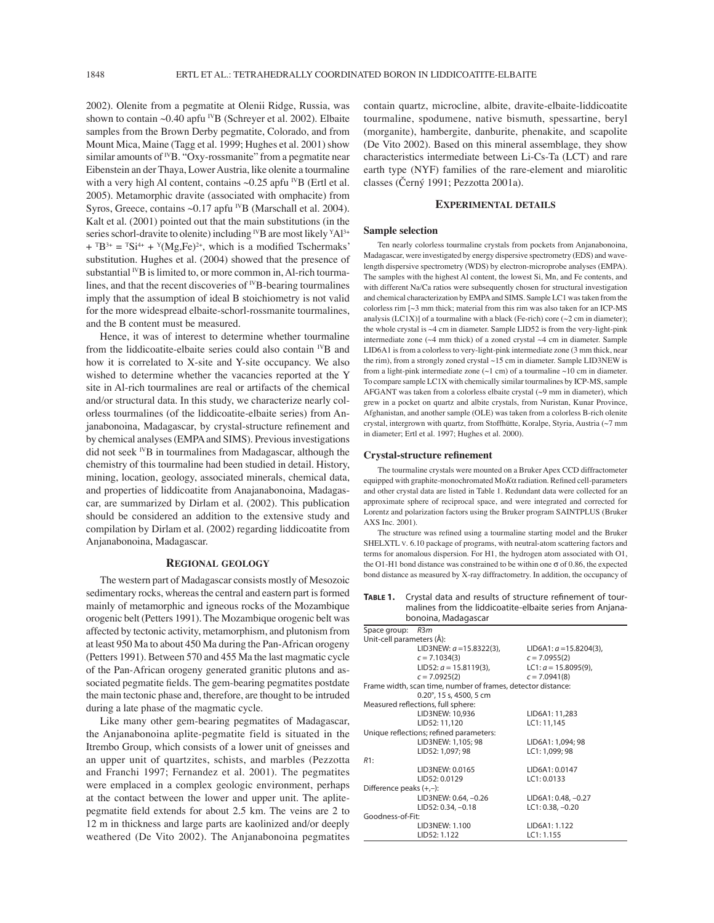2002). Olenite from a pegmatite at Olenii Ridge, Russia, was shown to contain  $\sim 0.40$  apfu <sup>IV</sup>B (Schreyer et al. 2002). Elbaite samples from the Brown Derby pegmatite, Colorado, and from Mount Mica, Maine (Tagg et al. 1999; Hughes et al. 2001) show similar amounts of  $^{IV}B$ . "Oxy-rossmanite" from a pegmatite near Eibenstein an der Thaya, Lower Austria, like olenite a tourmaline with a very high Al content, contains  $\sim 0.25$  apfu <sup>IV</sup>B (Ertl et al. 2005). Metamorphic dravite (associated with omphacite) from Syros, Greece, contains ~0.17 apfu <sup>IV</sup>B (Marschall et al. 2004). Kalt et al. (2001) pointed out that the main substitutions (in the series schorl-dravite to olenite) including <sup>IV</sup>B are most likely <sup>Y</sup>Al<sup>3+</sup>  $+ {}^{T}B^{3+} = {}^{T}Si^{4+} + {}^{Y}(Mg, Fe)^{2+}$ , which is a modified Tschermaks' substitution. Hughes et al. (2004) showed that the presence of substantial  $^{IV}B$  is limited to, or more common in, Al-rich tourmalines, and that the recent discoveries of  $^{IV}B$ -bearing tourmalines imply that the assumption of ideal B stoichiometry is not valid for the more widespread elbaite-schorl-rossmanite tourmalines, and the B content must be measured.

Hence, it was of interest to determine whether tourmaline from the liddicoatite-elbaite series could also contain  $N$ B and how it is correlated to X-site and Y-site occupancy. We also wished to determine whether the vacancies reported at the Y site in Al-rich tourmalines are real or artifacts of the chemical and/or structural data. In this study, we characterize nearly colorless tourmalines (of the liddicoatite-elbaite series) from Anjanabonoina, Madagascar, by crystal-structure refinement and by chemical analyses (EMPA and SIMS). Previous investigations did not seek  $^{IV}B$  in tourmalines from Madagascar, although the chemistry of this tourmaline had been studied in detail. History, mining, location, geology, associated minerals, chemical data, and properties of liddicoatite from Anajanabonoina, Madagascar, are summarized by Dirlam et al. (2002). This publication should be considered an addition to the extensive study and compilation by Dirlam et al. (2002) regarding liddicoatite from Anjanabonoina, Madagascar.

# **REGIONAL GEOLOGY**

The western part of Madagascar consists mostly of Mesozoic sedimentary rocks, whereas the central and eastern part is formed mainly of metamorphic and igneous rocks of the Mozambique orogenic belt (Petters 1991). The Mozambique orogenic belt was affected by tectonic activity, metamorphism, and plutonism from at least 950 Ma to about 450 Ma during the Pan-African orogeny (Petters 1991). Between 570 and 455 Ma the last magmatic cycle of the Pan-African orogeny generated granitic plutons and associated pegmatite fields. The gem-bearing pegmatites postdate the main tectonic phase and, therefore, are thought to be intruded during a late phase of the magmatic cycle.

Like many other gem-bearing pegmatites of Madagascar, the Anjanabonoina aplite-pegmatite field is situated in the Itrembo Group, which consists of a lower unit of gneisses and an upper unit of quartzites, schists, and marbles (Pezzotta and Franchi 1997; Fernandez et al. 2001). The pegmatites were emplaced in a complex geologic environment, perhaps at the contact between the lower and upper unit. The aplitepegmatite field extends for about 2.5 km. The veins are 2 to 12 m in thickness and large parts are kaolinized and/or deeply weathered (De Vito 2002). The Anjanabonoina pegmatites

contain quartz, microcline, albite, dravite-elbaite-liddicoatite tourmaline, spodumene, native bismuth, spessartine, beryl (morganite), hambergite, danburite, phenakite, and scapolite (De Vito 2002). Based on this mineral assemblage, they show characteristics intermediate between Li-Cs-Ta (LCT) and rare earth type (NYF) families of the rare-element and miarolitic classes (Černý 1991; Pezzotta 2001a).

# **EXPERIMENTAL DETAILS**

# **Sample selection**

Ten nearly colorless tourmaline crystals from pockets from Anjanabonoina, Madagascar, were investigated by energy dispersive spectrometry (EDS) and wavelength dispersive spectrometry (WDS) by electron-microprobe analyses (EMPA). The samples with the highest Al content, the lowest Si, Mn, and Fe contents, and with different Na/Ca ratios were subsequently chosen for structural investigation and chemical characterization by EMPA and SIMS. Sample LC1 was taken from the colorless rim [~3 mm thick; material from this rim was also taken for an ICP-MS analysis (LC1X)] of a tourmaline with a black (Fe-rich) core  $(\sim 2 \text{ cm}$  in diameter); the whole crystal is ~4 cm in diameter. Sample LID52 is from the very-light-pink intermediate zone  $(\sim4$  mm thick) of a zoned crystal  $\sim4$  cm in diameter. Sample LID6A1 is from a colorless to very-light-pink intermediate zone (3 mm thick, near the rim), from a strongly zoned crystal ~15 cm in diameter. Sample LID3NEW is from a light-pink intermediate zone  $(\sim1$  cm) of a tourmaline  $\sim10$  cm in diameter. To compare sample LC1X with chemically similar tourmalines by ICP-MS, sample AFGANT was taken from a colorless elbaite crystal (~9 mm in diameter), which grew in a pocket on quartz and albite crystals, from Nuristan, Kunar Province, Afghanistan, and another sample (OLE) was taken from a colorless B-rich olenite crystal, intergrown with quartz, from Stoffhütte, Koralpe, Styria, Austria ( $\sim$ 7 mm in diameter; Ertl et al. 1997; Hughes et al. 2000).

## **Crystal-structure refi nement**

The tourmaline crystals were mounted on a Bruker Apex CCD diffractometer equipped with graphite-monochromated  $M \circ K \alpha$  radiation. Refined cell-parameters and other crystal data are listed in Table 1. Redundant data were collected for an approximate sphere of reciprocal space, and were integrated and corrected for Lorentz and polarization factors using the Bruker program SAINTPLUS (Bruker AXS Inc. 2001).

The structure was refined using a tourmaline starting model and the Bruker SHELXTL V. 6.10 package of programs, with neutral-atom scattering factors and terms for anomalous dispersion. For H1, the hydrogen atom associated with O1, the O1-H1 bond distance was constrained to be within one  $\sigma$  of 0.86, the expected bond distance as measured by X-ray diffractometry. In addition, the occupancy of

TABLE 1. Crystal data and results of structure refinement of tourmalines from the liddicoatite-elbaite series from Anjanabonoina, Madagascar

|                            | borroma, madagascar                                          |                            |
|----------------------------|--------------------------------------------------------------|----------------------------|
| Space group:               | R3m                                                          |                            |
| Unit-cell parameters (Å):  |                                                              |                            |
|                            | LID3NEW: $a = 15.8322(3)$ ,                                  | LID6A1: $a = 15.8204(3)$ , |
|                            | $c = 7.1034(3)$                                              | $c = 7.0955(2)$            |
|                            | LID52: $a = 15.8119(3)$ ,                                    | LC1: $a = 15.8095(9)$ ,    |
|                            | $c = 7.0925(2)$                                              | $c = 7.0941(8)$            |
|                            | Frame width, scan time, number of frames, detector distance: |                            |
|                            | $0.20^{\circ}$ , 15 s, 4500, 5 cm                            |                            |
|                            | Measured reflections, full sphere:                           |                            |
|                            | LID3NEW: 10,936                                              | LID6A1: 11,283             |
|                            | LID52: 11,120                                                | LC1: 11,145                |
|                            | Unique reflections; refined parameters:                      |                            |
|                            | LID3NEW: 1,105; 98                                           | LID6A1: 1,094; 98          |
|                            | LID52: 1,097; 98                                             | LC1: 1,099; 98             |
| R1:                        |                                                              |                            |
|                            | LID3NEW: 0.0165                                              | LID6A1: 0.0147             |
|                            | LID52: 0.0129                                                | LC1: 0.0133                |
| Difference peaks $(+,-)$ : |                                                              |                            |
|                            | LID3NEW: 0.64, -0.26                                         | LID6A1: 0.48, -0.27        |
|                            | LID52: 0.34, -0.18                                           | LC1: 0.38, -0.20           |
| Goodness-of-Fit:           |                                                              |                            |
|                            | LID3NEW: 1.100                                               | LID6A1: 1.122              |
|                            | LID52: 1.122                                                 | LC1: 1.155                 |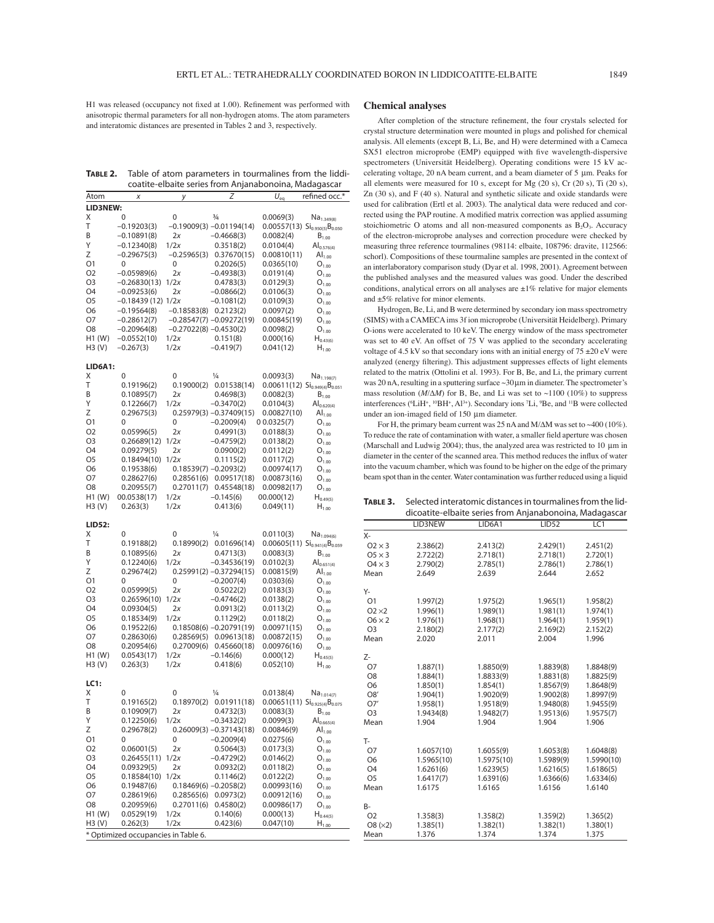H1 was released (occupancy not fixed at 1.00). Refinement was performed with anisotropic thermal parameters for all non-hydrogen atoms. The atom parameters and interatomic distances are presented in Tables 2 and 3, respectively.

**TABLE 2.** Table of atom parameters in tourmalines from the liddicoatite-elbaite series from Anjanabonoina, Madagascar

| Atom           | Χ                                    | у                        | Ζ                            | $U_{eq}$                                                | refined occ.*                                           |
|----------------|--------------------------------------|--------------------------|------------------------------|---------------------------------------------------------|---------------------------------------------------------|
| LID3NEW:       |                                      |                          |                              |                                                         |                                                         |
| Χ              | 0                                    | 0                        | $\frac{3}{4}$                | 0.0069(3)                                               | Na <sub>1.349(8)</sub>                                  |
| T              | $-0.19203(3)$                        |                          | $-0.19009(3) -0.01194(14)$   |                                                         | 0.00557(13) $Si_{0.950(5)}B_{0.050}$                    |
| B              | $-0.10891(8)$                        | 2x                       | $-0.4668(3)$                 | 0.0082(4)                                               | $B_{1.00}$                                              |
| Υ              | $-0.12340(8)$                        | 1/2x                     | 0.3518(2)                    | 0.0104(4)                                               | $Al_{0.576(4)}$                                         |
| Z              | $-0.29675(3)$                        | $-0.25965(3)$            | 0.37670(15)                  | 0.00810(11)                                             | $\mathsf{Al}_{1.00}$                                    |
| Ο1             | 0                                    | 0                        | 0.2026(5)                    | 0.0365(10)                                              | $O_{1.00}$                                              |
| O2             | $-0.05989(6)$                        | 2x                       | $-0.4938(3)$                 | 0.0191(4)                                               | $O_{1.00}$                                              |
| O3<br>O4       | $-0.26830(13)$                       | 1/2x<br>2x               | 0.4783(3)                    | 0.0129(3)                                               | $O_{1.00}$                                              |
| O5             | $-0.09253(6)$<br>$-0.18439(12)$ 1/2x |                          | $-0.0866(2)$<br>$-0.1081(2)$ | 0.0106(3)<br>0.0109(3)                                  | $O_{1.00}$                                              |
| Ο6             | $-0.19564(8)$                        | $-0.18583(8)$            | 0.2123(2)                    | 0.0097(2)                                               | $O_{1.00}$<br>$O_{1.00}$                                |
| 07             | $-0.28612(7)$                        |                          | $-0.28547(7) -0.09272(19)$   | 0.00845(19)                                             | $O_{1.00}$                                              |
| O8             | $-0.20964(8)$                        | $-0.27022(8) -0.4530(2)$ |                              | 0.0098(2)                                               | $O_{1.00}$                                              |
| H1 (W)         | $-0.0552(10)$                        | 1/2x                     | 0.151(8)                     | 0.000(16)                                               | $H_{0.43(6)}$                                           |
| H3 (V)         | $-0.267(3)$                          | 1/2x                     | $-0.419(7)$                  | 0.041(12)                                               | $H_{1.00}$                                              |
|                |                                      |                          |                              |                                                         |                                                         |
| LID6A1:<br>Χ   | 0                                    | 0                        | $\frac{1}{4}$                | 0.0093(3)                                               |                                                         |
| Τ              | 0.19196(2)                           | 0.19000(2)               | 0.01538(14)                  | $0.00611(12)$ Si <sub>0.949(4)</sub> B <sub>0.051</sub> | $Na_{1.198(7)}$                                         |
| B              | 0.10895(7)                           | 2x                       | 0.4698(3)                    | 0.0082(3)                                               | $B_{1.00}$                                              |
| Υ              | 0.12266(7)                           | 1/2x                     | $-0.3470(2)$                 | 0.0104(3)                                               | $Al_{0.620(4)}$                                         |
| Ζ              | 0.29675(3)                           |                          | $0.25979(3) -0.37409(15)$    | 0.00827(10)                                             | $AI_{1,00}$                                             |
| O1             | 0                                    | 0                        | $-0.2009(4)$                 | 0.0325(7)                                               | $O_{1.00}$                                              |
| O2             | 0.05996(5)                           | 2x                       | 0.4991(3)                    | 0.0188(3)                                               | $O_{1.00}$                                              |
| O3             | 0.26689(12)                          | 1/2x                     | $-0.4759(2)$                 | 0.0138(2)                                               | $O_{1.00}$                                              |
| O4             | 0.09279(5)                           | 2x                       | 0.0900(2)                    | 0.0112(2)                                               | $O_{1.00}$                                              |
| O5             | 0.18494(10)                          | 1/2x                     | 0.1115(2)                    | 0.0117(2)                                               | $O_{1.00}$                                              |
| O6             | 0.19538(6)                           | $0.18539(7) -0.2093(2)$  |                              | 0.00974(17)                                             | $O_{1.00}$                                              |
| 07             | 0.28627(6)                           | 0.28561(6)               | 0.09517(18)                  | 0.00873(16)                                             | $O_{1.00}$                                              |
| O <sub>8</sub> | 0.20955(7)                           | 0.27011(7)               | 0.45548(18)                  | 0.00982(17)                                             | $O_{1.00}$                                              |
| H1 (W)         | 00.0538(17)                          | 1/2x                     | $-0.145(6)$                  | 00.000(12)                                              | $H_{0.49(5)}$                                           |
| H3 (V)         | 0.263(3)                             | 1/2x                     | 0.413(6)                     | 0.049(11)                                               | $H_{1.00}$                                              |
| <b>LID52:</b>  |                                      |                          |                              |                                                         |                                                         |
| Χ              | 0                                    | 0                        | $\frac{1}{4}$                | 0.0110(3)                                               | $Na_{1.094(6)}$                                         |
| Т              | 0.19188(2)                           | 0.18990(2)               | 0.01696(14)                  |                                                         | 0.00605(11) $Si_{0.941(4)}B_{0.059}$                    |
| Β              | 0.10895(6)                           | 2x                       | 0.4713(3)                    | 0.0083(3)                                               | $B_{1,00}$                                              |
| Υ              | 0.12240(6)                           | 1/2x                     | $-0.34536(19)$               | 0.0102(3)                                               | $Al_{0.651(4)}$                                         |
| Ζ              | 0.29674(2)                           |                          | $0.25991(2) -0.37294(15)$    | 0.00815(9)                                              | $\mathsf{Al}_{1.00}$                                    |
| Ο1             | 0                                    | 0                        | $-0.2007(4)$                 | 0.0303(6)                                               | $O_{1,00}$                                              |
| O <sub>2</sub> | 0.05999(5)                           | 2x                       | 0.5022(2)                    | 0.0183(3)                                               | $O_{1.00}$                                              |
| O3             | 0.26596(10)                          | 1/2x                     | $-0.4746(2)$                 | 0.0138(2)                                               | $O_{1.00}$                                              |
| O4             | 0.09304(5)                           | 2x                       | 0.0913(2)                    | 0.0113(2)                                               | $O_{1.00}$                                              |
| O5             | 0.18534(9)                           | 1/2x                     | 0.1129(2)                    | 0.0118(2)                                               | $O_{1.00}$                                              |
| O6             | 0.19522(6)                           |                          | $0.18508(6) -0.20791(19)$    | 0.00971(15)                                             | $O_{1.00}$                                              |
| O7             | 0.28630(6)                           | 0.28569(5)<br>0.27009(6) | 0.09613(18)                  | 0.00872(15)                                             | $O_{1.00}$                                              |
| O8<br>H1 (W)   | 0.20954(6)<br>0.0543(17)             | 1/2x                     | 0.45660(18)<br>$-0.146(6)$   | 0.00976(16)<br>0.000(12)                                | $O_{1.00}$                                              |
| H3(V)          | 0.263(3)                             | 1/2x                     | 0.418(6)                     | 0.052(10)                                               | $H_{0.45(5)}$<br>$H_{1,00}$                             |
|                |                                      |                          |                              |                                                         |                                                         |
| LC1:           |                                      |                          |                              |                                                         |                                                         |
| Χ              | 0                                    | 0                        | $\frac{1}{4}$                | 0.0138(4)                                               | Na <sub>1.014(7)</sub>                                  |
| Т              | 0.19165(2)                           | 0.18970(2)               | 0.01911(18)                  |                                                         | $0.00651(11)$ Si <sub>0.925(4)</sub> B <sub>0.075</sub> |
| Β              | 0.10909(7)                           | 2x                       | 0.4732(3)                    | 0.0083(3)                                               | $B_{1,00}$                                              |
| Υ              | 0.12250(6)                           | 1/2x                     | $-0.3432(2)$                 | 0.0099(3)                                               | $Al_{0.665(4)}$                                         |
| Ζ              | 0.29678(2)                           |                          | $0.26009(3) -0.37143(18)$    | 0.00846(9)                                              | $\mathsf{Al}_{1.00}$                                    |
| Ο1             | 0                                    | 0                        | $-0.2009(4)$                 | 0.0275(6)                                               | $O_{1.00}$                                              |
| O2             | 0.06001(5)                           | 2x                       | 0.5064(3)                    | 0.0173(3)                                               | $O_{1.00}$                                              |
| O3             | 0.26455(11)                          | 1/2x                     | $-0.4729(2)$                 | 0.0146(2)                                               | $O_{1.00}$                                              |
| O4             | 0.09329(5)                           | 2х<br>1/2x               | 0.0932(2)                    | 0.0118(2)                                               | $O_{1.00}$                                              |
| O5<br>O6       | 0.18584(10)<br>0.19487(6)            | $0.18469(6) -0.2058(2)$  | 0.1146(2)                    | 0.0122(2)<br>0.00993(16)                                | $O_{1.00}$                                              |
| Ο7             | 0.28619(6)                           | 0.28565(6)               | 0.0973(2)                    | 0.00912(16)                                             | $O_{1.00}$<br>$O_{1.00}$                                |
| O8             | 0.20959(6)                           | 0.27011(6)               | 0.4580(2)                    | 0.00986(17)                                             | $O_{1.00}$                                              |
| H1 (W)         | 0.0529(19)                           | 1/2x                     | 0.140(6)                     | 0.000(13)                                               | $H_{0.44(5)}$                                           |
| H3 (V)         | 0.262(3)                             | 1/2x                     | 0.423(6)                     | 0.047(10)                                               | $H_{1.00}$                                              |
|                | * Optimized occupancies in Table 6.  |                          |                              |                                                         |                                                         |

#### **Chemical analyses**

After completion of the structure refinement, the four crystals selected for crystal structure determination were mounted in plugs and polished for chemical analysis. All elements (except B, Li, Be, and H) were determined with a Cameca SX51 electron microprobe (EMP) equipped with five wavelength-dispersive spectrometers (Universität Heidelberg). Operating conditions were 15 kV accelerating voltage, 20 nA beam current, and a beam diameter of 5 μm. Peaks for all elements were measured for 10 s, except for Mg (20 s), Cr (20 s), Ti (20 s), Zn (30 s), and F (40 s). Natural and synthetic silicate and oxide standards were used for calibration (Ertl et al. 2003). The analytical data were reduced and corrected using the PAP routine. A modified matrix correction was applied assuming stoichiometric O atoms and all non-measured components as  $B_2O_3$ . Accuracy of the electron-microprobe analyses and correction procedure were checked by measuring three reference tourmalines (98114: elbaite, 108796: dravite, 112566: schorl). Compositions of these tourmaline samples are presented in the context of an interlaboratory comparison study (Dyar et al. 1998, 2001). Agreement between the published analyses and the measured values was good. Under the described conditions, analytical errors on all analyses are  $\pm 1\%$  relative for major elements and ±5% relative for minor elements.

Hydrogen, Be, Li, and B were determined by secondary ion mass spectrometry (SIMS) with a CAMECA ims 3f ion microprobe (Universität Heidelberg). Primary O-ions were accelerated to 10 keV. The energy window of the mass spectrometer was set to 40 eV. An offset of 75 V was applied to the secondary accelerating voltage of 4.5 kV so that secondary ions with an initial energy of  $75 \pm 20$  eV were analyzed (energy filtering). This adjustment suppresses effects of light elements related to the matrix (Ottolini et al. 1993). For B, Be, and Li, the primary current was 20 nA, resulting in a sputtering surface  $\sim$ 30  $\mu$ m in diameter. The spectrometer's mass resolution ( $M/\Delta M$ ) for B, Be, and Li was set to ~1100 (10%) to suppress interferences (<sup>6</sup>LiH<sup>+</sup>, <sup>10</sup>BH<sup>+</sup>, Al<sup>3+</sup>). Secondary ions <sup>7</sup>Li, <sup>9</sup>Be, and <sup>11</sup>B were collected under an ion-imaged field of 150 μm diameter.

For H, the primary beam current was 25 nA and M/∆M was set to ~400 (10%). To reduce the rate of contamination with water, a smaller field aperture was chosen (Marschall and Ludwig 2004); thus, the analyzed area was restricted to 10 μm in diameter in the center of the scanned area. This method reduces the influx of water into the vacuum chamber, which was found to be higher on the edge of the primary beam spot than in the center. Water contamination was further reduced using a liquid

**TABLE 3.** Selected interatomic distances in tourmalines from the liddicoatite-elbaite series from Anjanabonoina, Madagascar

|                | LID3NEW    | LID6A1     | <b>LID52</b> | LC1        |
|----------------|------------|------------|--------------|------------|
| X-             |            |            |              |            |
| $02 \times 3$  | 2.386(2)   | 2.413(2)   | 2.429(1)     | 2.451(2)   |
| $05 \times 3$  | 2.722(2)   | 2.718(1)   | 2.718(1)     | 2.720(1)   |
| $04 \times 3$  | 2.790(2)   | 2.785(1)   | 2.786(1)     | 2.786(1)   |
| Mean           | 2.649      | 2.639      | 2.644        | 2.652      |
| Υ-             |            |            |              |            |
| O <sub>1</sub> | 1.997(2)   | 1.975(2)   | 1.965(1)     | 1.958(2)   |
| $02\times2$    | 1.996(1)   | 1.989(1)   | 1.981(1)     | 1.974(1)   |
| $06 \times 2$  | 1.976(1)   | 1.968(1)   | 1.964(1)     | 1.959(1)   |
| O <sub>3</sub> | 2.180(2)   | 2.177(2)   | 2.169(2)     | 2.152(2)   |
| Mean           | 2.020      | 2.011      | 2.004        | 1.996      |
| Z-             |            |            |              |            |
| O7             | 1.887(1)   | 1.8850(9)  | 1.8839(8)    | 1.8848(9)  |
| O <sub>8</sub> | 1.884(1)   | 1.8833(9)  | 1.8831(8)    | 1.8825(9)  |
| O <sub>6</sub> | 1.850(1)   | 1.854(1)   | 1.8567(9)    | 1.8648(9)  |
| O8'            | 1.904(1)   | 1.9020(9)  | 1.9002(8)    | 1.8997(9)  |
| O7'            | 1.958(1)   | 1.9518(9)  | 1.9480(8)    | 1.9455(9)  |
| O <sub>3</sub> | 1.9434(8)  | 1.9482(7)  | 1.9513(6)    | 1.9575(7)  |
| Mean           | 1.904      | 1.904      | 1.904        | 1.906      |
| T-             |            |            |              |            |
| 07             | 1.6057(10) | 1.6055(9)  | 1.6053(8)    | 1.6048(8)  |
| O <sub>6</sub> | 1.5965(10) | 1.5975(10) | 1.5989(9)    | 1.5990(10) |
| 04             | 1.6261(6)  | 1.6239(5)  | 1.6216(5)    | 1.6186(5)  |
| O <sub>5</sub> | 1.6417(7)  | 1.6391(6)  | 1.6366(6)    | 1.6334(6)  |
| Mean           | 1.6175     | 1.6165     | 1.6156       | 1.6140     |
| B-             |            |            |              |            |
| O <sub>2</sub> | 1.358(3)   | 1.358(2)   | 1.359(2)     | 1.365(2)   |
| O8(x2)         | 1.385(1)   | 1.382(1)   | 1.382(1)     | 1.380(1)   |
| Mean           | 1.376      | 1.374      | 1.374        | 1.375      |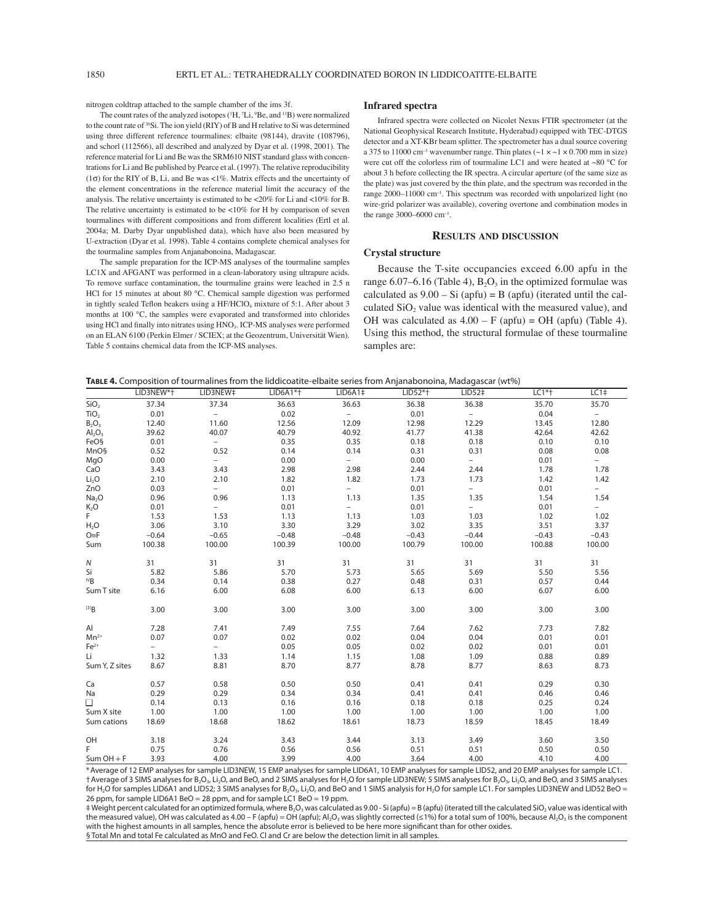nitrogen coldtrap attached to the sample chamber of the ims 3f.

The count rates of the analyzed isotopes (<sup>1</sup>H, <sup>7</sup>Li, <sup>9</sup>Be, and <sup>11</sup>B) were normalized to the count rate of 30Si. The ion yield (RIY) of B and H relative to Si was determined using three different reference tourmalines: elbaite (98144), dravite (108796), and schorl (112566), all described and analyzed by Dyar et al. (1998, 2001). The reference material for Li and Be was the SRM610 NIST standard glass with concentrations for Li and Be published by Pearce et al. (1997). The relative reproducibility (1σ) for the RIY of B, Li, and Be was <1%. Matrix effects and the uncertainty of the element concentrations in the reference material limit the accuracy of the analysis. The relative uncertainty is estimated to be <20% for Li and <10% for B. The relative uncertainty is estimated to be  $<10\%$  for H by comparison of seven tourmalines with different compositions and from different localities (Ertl et al. 2004a; M. Darby Dyar unpublished data), which have also been measured by U-extraction (Dyar et al. 1998). Table 4 contains complete chemical analyses for the tourmaline samples from Anjanabonoina, Madagascar.

The sample preparation for the ICP-MS analyses of the tourmaline samples LC1X and AFGANT was performed in a clean-laboratory using ultrapure acids. To remove surface contamination, the tourmaline grains were leached in 2.5 n HCl for 15 minutes at about 80 °C. Chemical sample digestion was performed in tightly sealed Teflon beakers using a HF/HClO<sub>4</sub> mixture of 5:1. After about 3 months at 100 °C, the samples were evaporated and transformed into chlorides using HCl and finally into nitrates using HNO<sub>3</sub>. ICP-MS analyses were performed on an ELAN 6100 (Perkin Elmer / SCIEX; at the Geozentrum, Universität Wien). Table 5 contains chemical data from the ICP-MS analyses.

#### **Infrared spectra**

Infrared spectra were collected on Nicolet Nexus FTIR spectrometer (at the National Geophysical Research Institute, Hyderabad) equipped with TEC-DTGS detector and a XT-KBr beam splitter. The spectrometer has a dual source covering a 375 to 11000 cm<sup>-1</sup> wavenumber range. Thin plates ( $\sim$ 1 ×  $\sim$ 1 × 0.700 mm in size) were cut off the colorless rim of tourmaline LC1 and were heated at ~80 °C for about 3 h before collecting the IR spectra. A circular aperture (of the same size as the plate) was just covered by the thin plate, and the spectrum was recorded in the range 2000-11000 cm<sup>-1</sup>. This spectrum was recorded with unpolarized light (no wire-grid polarizer was available), covering overtone and combination modes in the range  $3000-6000$  cm<sup>-1</sup>.

# **RESULTS AND DISCUSSION**

## **Crystal structure**

Because the T-site occupancies exceed 6.00 apfu in the range 6.07–6.16 (Table 4),  $B_2O_3$  in the optimized formulae was calculated as  $9.00 - Si$  (apfu) = B (apfu) (iterated until the calculated  $SiO<sub>2</sub>$  value was identical with the measured value), and OH was calculated as  $4.00 - F$  (apfu) = OH (apfu) (Table 4). Using this method, the structural formulae of these tourmaline samples are:

| TABLE 4. Composition of tourmalines from the liddicoatite-elbaite series from Anjanabonoina, Madagascar (wt%) |  |  |  |
|---------------------------------------------------------------------------------------------------------------|--|--|--|
|                                                                                                               |  |  |  |

|                                | LID3NEW*+ | LID3NEW#                 | $LID6A1*$ | LID6A1 <sup>‡</sup>      | $LID52*+$ | LID52‡                   | $LC1*$  | LC1 <sup>‡</sup>         |
|--------------------------------|-----------|--------------------------|-----------|--------------------------|-----------|--------------------------|---------|--------------------------|
| SiO <sub>2</sub>               | 37.34     | 37.34                    | 36.63     | 36.63                    | 36.38     | 36.38                    | 35.70   | 35.70                    |
| TiO <sub>2</sub>               | 0.01      | $\overline{\phantom{0}}$ | 0.02      | $\overline{\phantom{0}}$ | 0.01      | $\equiv$                 | 0.04    | $\overline{\phantom{a}}$ |
| $B_2O_3$                       | 12.40     | 11.60                    | 12.56     | 12.09                    | 12.98     | 12.29                    | 13.45   | 12.80                    |
| Al <sub>2</sub> O <sub>3</sub> | 39.62     | 40.07                    | 40.79     | 40.92                    | 41.77     | 41.38                    | 42.64   | 42.62                    |
| FeOS                           | 0.01      | $\overline{\phantom{0}}$ | 0.35      | 0.35                     | 0.18      | 0.18                     | 0.10    | 0.10                     |
| MnO§                           | 0.52      | 0.52                     | 0.14      | 0.14                     | 0.31      | 0.31                     | 0.08    | 0.08                     |
| MgO                            | 0.00      | $\overline{\phantom{a}}$ | 0.00      | $\overline{\phantom{a}}$ | 0.00      | $ \,$                    | 0.01    | $\overline{\phantom{0}}$ |
| CaO                            | 3.43      | 3.43                     | 2.98      | 2.98                     | 2.44      | 2.44                     | 1.78    | 1.78                     |
| Li <sub>2</sub> O              | 2.10      | 2.10                     | 1.82      | 1.82                     | 1.73      | 1.73                     | 1.42    | 1.42                     |
| ZnO                            | 0.03      | $\overline{a}$           | 0.01      | $=$                      | 0.01      | $\overline{\phantom{0}}$ | 0.01    | $\equiv$                 |
| Na <sub>2</sub> O              | 0.96      | 0.96                     | 1.13      | 1.13                     | 1.35      | 1.35                     | 1.54    | 1.54                     |
| $K_2O$                         | 0.01      | $\overline{\phantom{a}}$ | 0.01      | $\overline{\phantom{0}}$ | 0.01      | $\overline{\phantom{0}}$ | 0.01    | $\overline{a}$           |
| F.                             | 1.53      | 1.53                     | 1.13      | 1.13                     | 1.03      | 1.03                     | 1.02    | 1.02                     |
| $H_2O$                         | 3.06      | 3.10                     | 3.30      | 3.29                     | 3.02      | 3.35                     | 3.51    | 3.37                     |
| $O=$ F                         | $-0.64$   | $-0.65$                  | $-0.48$   | $-0.48$                  | $-0.43$   | $-0.44$                  | $-0.43$ | $-0.43$                  |
| Sum                            | 100.38    | 100.00                   | 100.39    | 100.00                   | 100.79    | 100.00                   | 100.88  | 100.00                   |
| Ν                              | 31        | 31                       | 31        | 31                       | 31        | 31                       | 31      | 31                       |
| Si                             | 5.82      | 5.86                     | 5.70      | 5.73                     | 5.65      | 5.69                     | 5.50    | 5.56                     |
| <sup>IV</sup> B                | 0.34      | 0.14                     | 0.38      | 0.27                     | 0.48      | 0.31                     | 0.57    | 0.44                     |
| Sum T site                     | 6.16      | 6.00                     | 6.08      | 6.00                     | 6.13      | 6.00                     | 6.07    | 6.00                     |
| [3]B                           | 3.00      | 3.00                     | 3.00      | 3.00                     | 3.00      | 3.00                     | 3.00    | 3.00                     |
| Al                             | 7.28      | 7.41                     | 7.49      | 7.55                     | 7.64      | 7.62                     | 7.73    | 7.82                     |
| $Mn^{2+}$                      | 0.07      | 0.07                     | 0.02      | 0.02                     | 0.04      | 0.04                     | 0.01    | 0.01                     |
| $Fe2+$                         | $\equiv$  | $=$                      | 0.05      | 0.05                     | 0.02      | 0.02                     | 0.01    | 0.01                     |
| Li                             | 1.32      | 1.33                     | 1.14      | 1.15                     | 1.08      | 1.09                     | 0.88    | 0.89                     |
| Sum Y, Z sites                 | 8.67      | 8.81                     | 8.70      | 8.77                     | 8.78      | 8.77                     | 8.63    | 8.73                     |
| Ca                             | 0.57      | 0.58                     | 0.50      | 0.50                     | 0.41      | 0.41                     | 0.29    | 0.30                     |
| Na                             | 0.29      | 0.29                     | 0.34      | 0.34                     | 0.41      | 0.41                     | 0.46    | 0.46                     |
| П                              | 0.14      | 0.13                     | 0.16      | 0.16                     | 0.18      | 0.18                     | 0.25    | 0.24                     |
| Sum X site                     | 1.00      | 1.00                     | 1.00      | 1.00                     | 1.00      | 1.00                     | 1.00    | 1.00                     |
| Sum cations                    | 18.69     | 18.68                    | 18.62     | 18.61                    | 18.73     | 18.59                    | 18.45   | 18.49                    |
| OH                             | 3.18      | 3.24                     | 3.43      | 3.44                     | 3.13      | 3.49                     | 3.60    | 3.50                     |
| F.                             | 0.75      | 0.76                     | 0.56      | 0.56                     | 0.51      | 0.51                     | 0.50    | 0.50                     |
| $Sum OH + F$                   | 3.93      | 4.00                     | 3.99      | 4.00                     | 3.64      | 4.00                     | 4.10    | 4.00                     |

\*Average of 12 EMP analyses for sample LID3NEW, 15 EMP analyses for sample LID6A1, 10 EMP analyses for sample LID52, and 20 EMP analyses for sample LC1. †Average of 3 SIMS analyses for B2O3, Li2O, and BeO, and 2 SIMS analyses for H2O for sample LID3NEW; 5 SIMS analyses for B2O3, Li2O, and BeO, and 3 SIMS analyses for H<sub>2</sub>O for samples LID6A1 and LID52; 3 SIMS analyses for B<sub>2</sub>O<sub>3</sub>, Li<sub>2</sub>O, and BeO and 1 SIMS analysis for H<sub>2</sub>O for sample LC1. For samples LID3NEW and LID52 BeO = 26 ppm, for sample LID6A1 BeO = 28 ppm, and for sample LC1 BeO = 19 ppm.

 $\#$  Weight percent calculated for an optimized formula, where B<sub>2</sub>O<sub>3</sub> was calculated as 9.00 - Si (apfu) = B (apfu) (iterated till the calculated SiO<sub>2</sub> value was identical with the measured value), OH was calculated as 4.00 – F (apfu) = OH (apfu); Al<sub>2</sub>O<sub>3</sub> was slightly corrected (≤1%) for a total sum of 100%, because Al<sub>2</sub>O<sub>3</sub> is the component with the highest amounts in all samples, hence the absolute error is believed to be here more significant than for other oxides. § Total Mn and total Fe calculated as MnO and FeO. Cl and Cr are below the detection limit in all samples.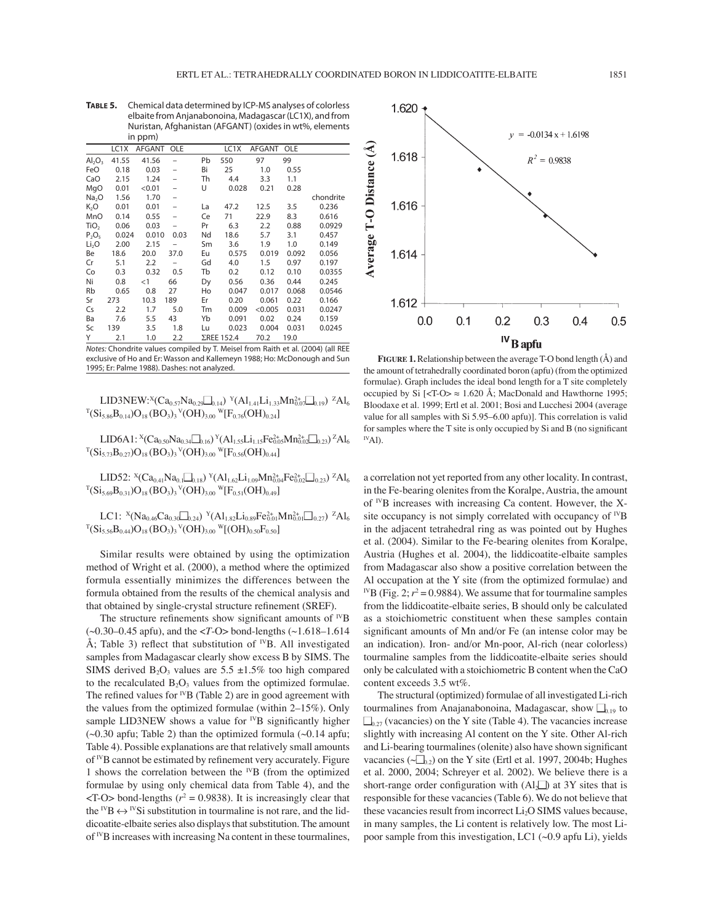**TABLE 5.** Chemical data determined by ICP-MS analyses of colorless elbaite from Anjanabonoina, Madagascar (LC1X), and from Nuristan, Afghanistan (AFGANT) (oxides in wt%, elements in ppm)

| $\cdots \sim \cdots$ |       |               |                          |    |                   |            |       |           |
|----------------------|-------|---------------|--------------------------|----|-------------------|------------|-------|-----------|
|                      | LC1X  | <b>AFGANT</b> | <b>OLE</b>               |    | LC <sub>1</sub> X | AFGANT OLE |       |           |
| $Al_2O_3$            | 41.55 | 41.56         |                          | Pb | 550               | 97         | 99    |           |
| FeO                  | 0.18  | 0.03          |                          | Bi | 25                | 1.0        | 0.55  |           |
| CaO                  | 2.15  | 1.24          | $\overline{\phantom{0}}$ | Th | 4.4               | 3.3        | 1.1   |           |
| MgO                  | 0.01  | < 0.01        |                          | U  | 0.028             | 0.21       | 0.28  |           |
| Na <sub>2</sub> O    | 1.56  | 1.70          | $\overline{\phantom{0}}$ |    |                   |            |       | chondrite |
| K,O                  | 0.01  | 0.01          |                          | La | 47.2              | 12.5       | 3.5   | 0.236     |
| MnO                  | 0.14  | 0.55          |                          | Ce | 71                | 22.9       | 8.3   | 0.616     |
| TiO <sub>2</sub>     | 0.06  | 0.03          |                          | Pr | 6.3               | 2.2        | 0.88  | 0.0929    |
| $P_2O_5$             | 0.024 | 0.010         | 0.03                     | Nd | 18.6              | 5.7        | 3.1   | 0.457     |
| Li <sub>2</sub> O    | 2.00  | 2.15          |                          | Sm | 3.6               | 1.9        | 1.0   | 0.149     |
| Вe                   | 18.6  | 20.0          | 37.0                     | Eu | 0.575             | 0.019      | 0.092 | 0.056     |
| Cr                   | 5.1   | 2.2           |                          | Gd | 4.0               | 1.5        | 0.97  | 0.197     |
| Co                   | 0.3   | 0.32          | 0.5                      | Tb | 0.2               | 0.12       | 0.10  | 0.0355    |
| Ni                   | 0.8   | $<$ 1         | 66                       | Dy | 0.56              | 0.36       | 0.44  | 0.245     |
| Rb                   | 0.65  | 0.8           | 27                       | Ho | 0.047             | 0.017      | 0.068 | 0.0546    |
| Sr                   | 273   | 10.3          | 189                      | Er | 0.20              | 0.061      | 0.22  | 0.166     |
| Cs                   | 2.2   | 1.7           | 5.0                      | Tm | 0.009             | < 0.005    | 0.031 | 0.0247    |
| Ba                   | 7.6   | 5.5           | 43                       | Yb | 0.091             | 0.02       | 0.24  | 0.159     |
| Sc                   | 139   | 3.5           | 1.8                      | Lu | 0.023             | 0.004      | 0.031 | 0.0245    |
| Υ                    | 2.1   | 1.0           | 2.2                      |    | ΣREE 152.4        | 70.2       | 19.0  |           |

*Notes:* Chondrite values compiled by T. Meisel from Raith et al. (2004) (all REE exclusive of Ho and Er: Wasson and Kallemeyn 1988; Ho: McDonough and Sun 1995; Er: Palme 1988). Dashes: not analyzed.

LID3NEW:<sup>X</sup>(Ca<sub>0.57</sub>Na<sub>0.29</sub> $\Box$ <sub>0.14</sub>)<sup>Y</sup>(Al<sub>1.41</sub>Li<sub>1.33</sub>Mn<sup>2+</sup><sub>0.19</sub>)<sup>z</sup>Al<sub>6</sub>  ${}^{\text{T}}\text{(Si}_{5.86}\text{B}_{0.14})\text{O}_{18}\,\text{(BO}_3)_3\,{}^{\text{V}}\text{(OH)}_{3.00}\,{}^{\text{W}}\text{[F}_{0.76}\text{(OH)}_{0.24}\text{]}$ 

 $LID6A1: {}^{X}(Ca_{0.50}Na_{0.34}\Box_{0.16}) {}^{Y}(Al_{1.55}Li_{1.15}Fe_{0.05}^{2+}Mn_{0.02}^{2+}\Box_{0.23}) {}^{Z}Al_{6}$  ${}^{\text{T}}\text{(Si}_{5.73}\text{B}_{0.27})\text{O}_{18}\,\text{(BO}_3)_3\,{}^{\text{V}}\text{(OH)}_{3.00}\,{}^{\text{W}}\text{[F}_{0.56}\text{(OH)}_{0.44}\text{]}$ 

LID52:  ${}^{\text{X}}$ (Ca<sub>0.41</sub>Na<sub>0.1</sub> | <sub>0.18</sub>)  ${}^{\text{Y}}$ (Al<sub>1.62</sub> Li<sub>1.09</sub>Mn<sup>2+</sup><sub>0.4</sub>Fe<sup>2+</sup><sub>0.02</sub> |  ${}^{\text{Z}}$ Al<sub>6</sub>  ${}^{\text{T}}\text{(Si}_{5.69}\text{B}_{0.31})\text{O}_{18}\text{(BO}_3)_3 {}^{\text{V}}\text{(OH)}_{3.00} {}^{\text{W}}\text{[F}_{0.51}\text{(OH)}_{0.49}]$ 

LC1:  $^{X}$ (Na<sub>0.46</sub>Ca<sub>0.30</sub> I<sub>0.24</sub>)  $^{Y}$ (Al<sub>1.82</sub>Li<sub>0.89</sub>Fe<sub>0.01</sub>Mn<sub>0.01</sub> I<sub>0.27</sub>) <sup>z</sup>Al<sub>6</sub>  ${}^{\mathrm{T}}\mathrm{(Si_{5.56}B_{0.44})O_{18}\mathrm{(BO_3)_3} } {}^{\mathrm{V}}\mathrm{(OH)_{3.00} }\mathrm{ }^{\mathrm{W}}\mathrm{[(OH)_{0.50}F_{0.50}]}$ 

Similar results were obtained by using the optimization method of Wright et al. (2000), a method where the optimized formula essentially minimizes the differences between the formula obtained from the results of the chemical analysis and that obtained by single-crystal structure refinement (SREF).

The structure refinements show significant amounts of  $W$ B  $(\sim 0.30 - 0.45$  apfu), and the  $\lt T$ -O $>$  bond-lengths ( $\sim 1.618 - 1.614$ ) Å; Table 3) reflect that substitution of <sup>IV</sup>B. All investigated samples from Madagascar clearly show excess B by SIMS. The SIMS derived  $B_2O_3$  values are 5.5  $\pm 1.5\%$  too high compared to the recalculated  $B_2O_3$  values from the optimized formulae. The refined values for <sup>IV</sup>B (Table 2) are in good agreement with the values from the optimized formulae (within  $2-15\%$ ). Only sample LID3NEW shows a value for  $^{IV}B$  significantly higher  $(\sim 0.30$  apfu; Table 2) than the optimized formula  $(\sim 0.14$  apfu; Table 4). Possible explanations are that relatively small amounts  $of <sup>IV</sup>B$  cannot be estimated by refinement very accurately. Figure 1 shows the correlation between the IVB (from the optimized formulae by using only chemical data from Table 4), and the  $\langle$ T-O > bond-lengths ( $r^2$  = 0.9838). It is increasingly clear that the  $^{IV}B \leftrightarrow ^{IV}Si$  substitution in tourmaline is not rare, and the liddicoatite-elbaite series also displays that substitution. The amount of IVB increases with increasing Na content in these tourmalines,



**FIGURE 1.** Relationship between the average T-O bond length (Å) and the amount of tetrahedrally coordinated boron (apfu) (from the optimized formulae). Graph includes the ideal bond length for a T site completely occupied by Si  $\vert$ <T-O>  $\approx$  1.620 Å; MacDonald and Hawthorne 1995; Bloodaxe et al. 1999; Ertl et al. 2001; Bosi and Lucchesi 2004 (average value for all samples with Si 5.95-6.00 apfu)]. This correlation is valid for samples where the T site is only occupied by Si and B (no significant  $N$ Al).

a correlation not yet reported from any other locality. In contrast, in the Fe-bearing olenites from the Koralpe, Austria, the amount of  $^{IV}B$  increases with increasing Ca content. However, the Xsite occupancy is not simply correlated with occupancy of  $W$ B in the adjacent tetrahedral ring as was pointed out by Hughes et al. (2004). Similar to the Fe-bearing olenites from Koralpe, Austria (Hughes et al. 2004), the liddicoatite-elbaite samples from Madagascar also show a positive correlation between the Al occupation at the Y site (from the optimized formulae) and <sup>IV</sup>B (Fig. 2;  $r^2 = 0.9884$ ). We assume that for tourmaline samples from the liddicoatite-elbaite series, B should only be calculated as a stoichiometric constituent when these samples contain significant amounts of Mn and/or Fe (an intense color may be an indication). Iron- and/or Mn-poor, Al-rich (near colorless) tourmaline samples from the liddicoatite-elbaite series should only be calculated with a stoichiometric B content when the CaO content exceeds 3.5 wt%.

The structural (optimized) formulae of all investigated Li-rich tourmalines from Anajanabonoina, Madagascar, show  $\square_{0,19}$  to  $\square_{0.27}$  (vacancies) on the Y site (Table 4). The vacancies increase slightly with increasing Al content on the Y site. Other Al-rich and Li-bearing tourmalines (olenite) also have shown significant vacancies ( $\sqrt{ }$ <sub>0.2</sub>) on the Y site (Ertl et al. 1997, 2004b; Hughes et al. 2000, 2004; Schreyer et al. 2002). We believe there is a short-range order configuration with  $(Al_2\Box)$  at 3Y sites that is responsible for these vacancies (Table 6). We do not believe that these vacancies result from incorrect  $Li<sub>2</sub>O$  SIMS values because, in many samples, the Li content is relatively low. The most Lipoor sample from this investigation, LC1  $(\sim 0.9$  apfu Li), yields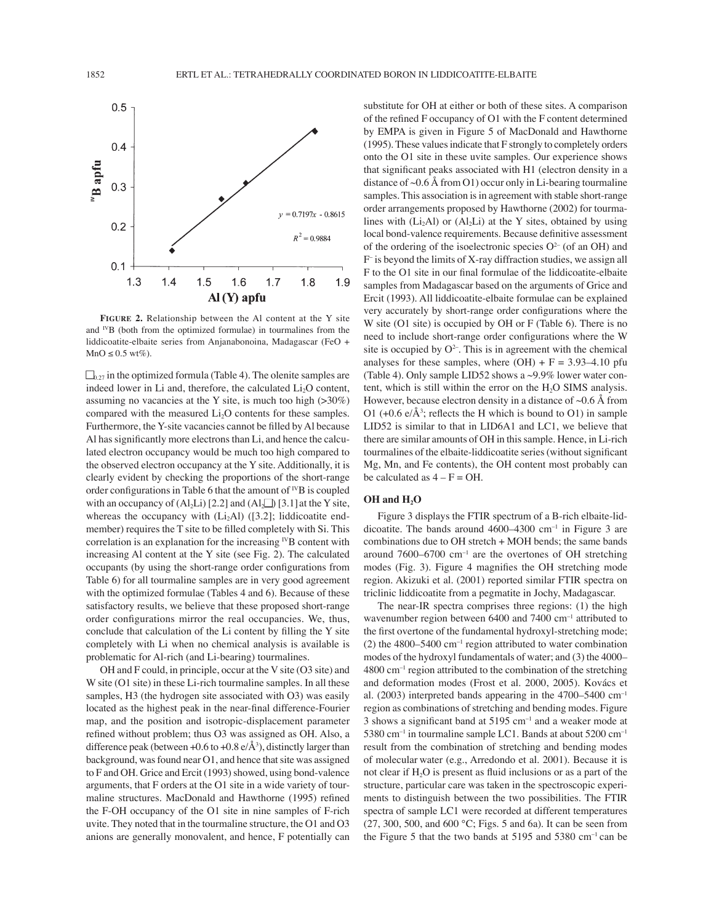

**FIGURE 2.** Relationship between the Al content at the Y site and  $^{IV}B$  (both from the optimized formulae) in tourmalines from the liddicoatite-elbaite series from Anjanabonoina, Madagascar (FeO +  $MnO \leq 0.5$  wt%).

 $\Box_{0.27}$  in the optimized formula (Table 4). The olenite samples are indeed lower in Li and, therefore, the calculated  $Li<sub>2</sub>O$  content, assuming no vacancies at the Y site, is much too high  $(>30\%)$ compared with the measured  $Li<sub>2</sub>O$  contents for these samples. Furthermore, the Y-site vacancies cannot be filled by Al because Al has significantly more electrons than Li, and hence the calculated electron occupancy would be much too high compared to the observed electron occupancy at the Y site. Additionally, it is clearly evident by checking the proportions of the short-range order configurations in Table 6 that the amount of  $^{IV}B$  is coupled with an occupancy of  $(A<sub>2</sub>Li)$  [2.2] and  $(A<sub>2</sub>Li)$  [3.1] at the Y site, whereas the occupancy with  $(Li<sub>2</sub>Al)$  ([3.2]; liddicoatite endmember) requires the T site to be filled completely with Si. This correlation is an explanation for the increasing  $W$ B content with increasing Al content at the Y site (see Fig. 2). The calculated occupants (by using the short-range order configurations from Table 6) for all tourmaline samples are in very good agreement with the optimized formulae (Tables 4 and 6). Because of these satisfactory results, we believe that these proposed short-range order configurations mirror the real occupancies. We, thus, conclude that calculation of the Li content by filling the Y site completely with Li when no chemical analysis is available is problematic for Al-rich (and Li-bearing) tourmalines.

OH and F could, in principle, occur at the V site (O3 site) and W site (O1 site) in these Li-rich tourmaline samples. In all these samples, H3 (the hydrogen site associated with O3) was easily located as the highest peak in the near-final difference-Fourier map, and the position and isotropic-displacement parameter refined without problem; thus O3 was assigned as OH. Also, a difference peak (between  $+0.6$  to  $+0.8 \text{ e}/\text{\AA}^3$ ), distinctly larger than background, was found near O1, and hence that site was assigned to F and OH. Grice and Ercit (1993) showed, using bond-valence arguments, that F orders at the O1 site in a wide variety of tourmaline structures. MacDonald and Hawthorne (1995) refined the F-OH occupancy of the O1 site in nine samples of F-rich uvite. They noted that in the tourmaline structure, the O1 and O3 anions are generally monovalent, and hence, F potentially can

substitute for OH at either or both of these sites. A comparison of the refined  $F$  occupancy of  $O1$  with the  $F$  content determined by EMPA is given in Figure 5 of MacDonald and Hawthorne (1995). These values indicate that F strongly to completely orders onto the O1 site in these uvite samples. Our experience shows that significant peaks associated with H1 (electron density in a distance of  $\sim 0.6$  Å from O1) occur only in Li-bearing tourmaline samples. This association is in agreement with stable short-range order arrangements proposed by Hawthorne (2002) for tourmalines with  $(Li<sub>2</sub>Al)$  or  $(Al<sub>2</sub>Li)$  at the Y sites, obtained by using local bond-valence requirements. Because definitive assessment of the ordering of the isoelectronic species  $O^{2-}$  (of an OH) and F<sup>-</sup> is beyond the limits of X-ray diffraction studies, we assign all F to the O1 site in our final formulae of the liddicoatite-elbaite samples from Madagascar based on the arguments of Grice and Ercit (1993). All liddicoatite-elbaite formulae can be explained very accurately by short-range order configurations where the W site (O1 site) is occupied by OH or F (Table 6). There is no need to include short-range order configurations where the W site is occupied by  $O^{2-}$ . This is in agreement with the chemical analyses for these samples, where  $(OH) + F = 3.93-4.10$  pfu (Table 4). Only sample LID52 shows a ~9.9% lower water content, which is still within the error on the  $H<sub>2</sub>O$  SIMS analysis. However, because electron density in a distance of  $\sim 0.6$  Å from O1 (+0.6  $e/\text{\AA}^3$ ; reflects the H which is bound to O1) in sample LID52 is similar to that in LID6A1 and LC1, we believe that there are similar amounts of OH in this sample. Hence, in Li-rich tourmalines of the elbaite-liddicoatite series (without significant Mg, Mn, and Fe contents), the OH content most probably can be calculated as  $4 - F = OH$ .

# **OH and H2O**

Figure 3 displays the FTIR spectrum of a B-rich elbaite-liddicoatite. The bands around  $4600-4300$  cm<sup>-1</sup> in Figure 3 are combinations due to OH stretch + MOH bends; the same bands around  $7600-6700$  cm<sup>-1</sup> are the overtones of OH stretching modes (Fig. 3). Figure 4 magnifies the OH stretching mode region. Akizuki et al. (2001) reported similar FTIR spectra on triclinic liddicoatite from a pegmatite in Jochy, Madagascar.

The near-IR spectra comprises three regions: (1) the high wavenumber region between  $6400$  and  $7400$  cm<sup>-1</sup> attributed to the first overtone of the fundamental hydroxyl-stretching mode; (2) the 4800–5400 cm<sup>-1</sup> region attributed to water combination modes of the hydroxyl fundamentals of water; and  $(3)$  the 4000–  $4800 \text{ cm}^{-1}$  region attributed to the combination of the stretching and deformation modes (Frost et al. 2000, 2005). Kovács et al. (2003) interpreted bands appearing in the 4700–5400  $cm^{-1}$ region as combinations of stretching and bending modes. Figure 3 shows a significant band at  $5195$  cm<sup>-1</sup> and a weaker mode at  $5380$  cm<sup>-1</sup> in tourmaline sample LC1. Bands at about  $5200$  cm<sup>-1</sup> result from the combination of stretching and bending modes of molecular water (e.g., Arredondo et al. 2001). Because it is not clear if  $H_2O$  is present as fluid inclusions or as a part of the structure, particular care was taken in the spectroscopic experiments to distinguish between the two possibilities. The FTIR spectra of sample LC1 were recorded at different temperatures  $(27, 300, 500, \text{ and } 600 \text{ °C};$  Figs. 5 and 6a). It can be seen from the Figure 5 that the two bands at  $5195$  and  $5380$  cm<sup>-1</sup> can be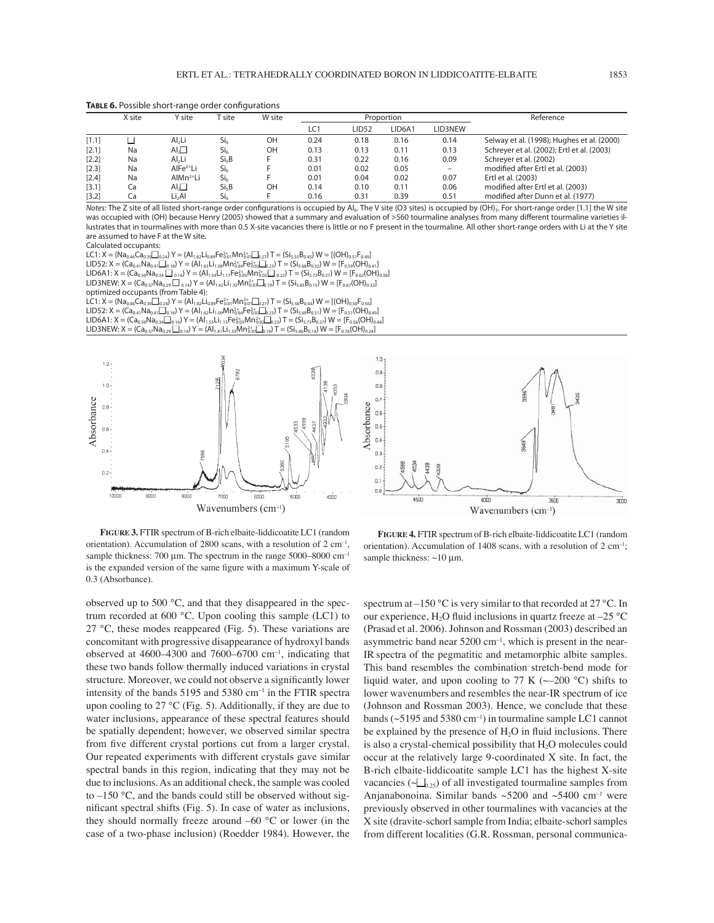**TABLE 6.** Possible short-range order configurations

|         | X site | Y site             | site <sup>.</sup> | W site |      | Proportion   |        |                          | Reference                                  |
|---------|--------|--------------------|-------------------|--------|------|--------------|--------|--------------------------|--------------------------------------------|
|         |        |                    |                   |        | LC1  | <b>LID52</b> | LID6A1 | LID3NEW                  |                                            |
| [1.1]   |        | Al <sub>2</sub> Li | Si <sub>6</sub>   | OH     | 0.24 | 0.18         | 0.16   | 0.14                     | Selway et al. (1998); Hughes et al. (2000) |
| $[2.1]$ | Na     | Al,□               | Si <sub>6</sub>   | OH     | 0.13 | 0.13         | 0.11   | 0.13                     | Schreyer et al. (2002); Ertl et al. (2003) |
| $[2.2]$ | Na     | Al <sub>2</sub> Li | Si <sub>5</sub> B |        | 0.31 | 0.22         | 0.16   | 0.09                     | Schreyer et al. (2002)                     |
| [2.3]   | Na     | $AlFe2+Li$         | Si <sub>6</sub>   |        | 0.01 | 0.02         | 0.05   | $\overline{\phantom{m}}$ | modified after Ertl et al. (2003)          |
| $[2.4]$ | Na     | $AlMn2+Li$         | Si <sub>6</sub>   |        | 0.01 | 0.04         | 0.02   | 0.07                     | Ertl et al. (2003)                         |
| [3.1]   | Ca     | Al√                | Si <sub>5</sub> B | OH     | 0.14 | 0.10         | 0.11   | 0.06                     | modified after Ertl et al. (2003)          |
| $[3.2]$ | Ca     | Li-Al              | Si <sub>6</sub>   |        | 0.16 | 0.31         | 0.39   | 0.51                     | modified after Dunn et al. (1977)          |

*Notes:* The Z site of all listed short-range order configurations is occupied by Al<sub>6</sub>. The V site (O3 sites) is occupied by (OH)<sub>3</sub>. For short-range order [1.1] the W site was occupied with (OH) because Henry (2005) showed that a summary and evaluation of >560 tourmaline analyses from many different tourmaline varieties illustrates that in tourmalines with more than 0.5 X-site vacancies there is little or no F present in the tourmaline. All other short-range orders with Li at the Y site are assumed to have F at the W site.

Calculated occupants:

 $LC1: X = (Na_{0.46}Ca_{0.30} \square_{0.24}) Y = (Al_{1.82}Li_{0.89}Fe_{0.01}^{2+}Mn_{0.01}^{2+} \square_{0.27}) T = (Si_{5.55}B_{0.45}) W = [(OH)_{0.51}F_{0.49}]$  $LID52: X = (Ca_{0.41}Na_{0.41}\square_{0.18}) Y = (Al_{1.63}Li_{1.08}Mn_{0.04}^{2+}Fe_{0.02}^{2+}\square_{0.23}) T = (Si_{5.68}B_{0.32}) W = [F_{0.59}(OH)_{0.41}]$  $LID6A1: X = (Ca_{0.50}Na_{0.34} \Box_{0.16}) Y = (Al_{1.54}Li_{1.17}Fe_{0.05}^{2+}Mn_{0.02}^{2+} \Box_{0.22}) T = (Si_{5.73}B_{0.27}) W = [F_{0.62}(OH)_{0.38}]$ LID3NEW:  $X = (Ca_{0.57}Na_{0.29} \Box_{0.14}) Y = (Al_{1.42}Li_{1.32}Mn_{0.07}^{2+} \Box_{0.19}) T = (Si_{5.85}B_{0.15}) W = [F_{0.67}(OH)_{0.33}]$ optimized occupants (from Table 4):

 $LC1: X = (Na_{0.46}Ca_{0.30}\square_{0.24}) Y = (Al_{1.82}Li_{0.89}Fe_{0.01}^{2+}Mn_{0.01}^{2+}\square_{0.27}) T = (Si_{5.56}B_{0.44}) W = [(OH)_{0.50}F_{0.50}]$  $LID52: X = (Ca_{0.41}Na_{0.41}\square_{0.18}) Y = (Al_{1.62}Li_{1.09}Mn_{0.04}^{2+}Fe_{0.02}^{2+}\square_{0.23}) T = (Si_{5.69}B_{0.31}) W = [F_{0.51}(OH)_{0.49}]$ LID6A1: X = (Ca<sub>0.50</sub>Na<sub>0.34</sub> $\Box_{0.16}$ ) Y = (Al<sub>1.55</sub>Li<sub>1.15</sub>Fe $^2_{0.05}$ Mn $^2_{0.07}$ , $\Box_{0.3}$ ) T = (Si<sub>5.73</sub>B<sub>0.27</sub>) W = [F<sub>0.56</sub>(OH)<sub>0.44</sub>]<br>LID3NEW: X = (Ca<sub>0.57</sub>Na<sub>0.29</sub>  $\Box_{0.14}$ ) Y = (Al<sub>1.41</sub>Li<sub>1.33</sub>Mn $^2_{0.07}$ ,





**FIGURE 3.** FTIR spectrum of B-rich elbaite-liddicoatite LC1 (random orientation). Accumulation of 2800 scans, with a resolution of  $2 \text{ cm}^{-1}$ , sample thickness: 700  $\mu$ m. The spectrum in the range 5000–8000 cm<sup>-1</sup> is the expanded version of the same figure with a maximum Y-scale of 0.3 (Absorbance).

**FIGURE 4.** FTIR spectrum of B-rich elbaite-liddicoatite LC1 (random orientation). Accumulation of 1408 scans, with a resolution of  $2 \text{ cm}^{-1}$ ; sample thickness: ~10 μm.

observed up to 500 °C, and that they disappeared in the spectrum recorded at 600 °C. Upon cooling this sample (LC1) to 27 °C, these modes reappeared (Fig. 5). These variations are concomitant with progressive disappearance of hydroxyl bands observed at 4600–4300 and 7600–6700 cm<sup>-1</sup>, indicating that these two bands follow thermally induced variations in crystal structure. Moreover, we could not observe a significantly lower intensity of the bands  $5195$  and  $5380$  cm<sup>-1</sup> in the FTIR spectra upon cooling to 27 °C (Fig. 5). Additionally, if they are due to water inclusions, appearance of these spectral features should be spatially dependent; however, we observed similar spectra from five different crystal portions cut from a larger crystal. Our repeated experiments with different crystals gave similar spectral bands in this region, indicating that they may not be due to inclusions. As an additional check, the sample was cooled to  $-150$  °C, and the bands could still be observed without significant spectral shifts (Fig. 5). In case of water as inclusions, they should normally freeze around  $-60$  °C or lower (in the case of a two-phase inclusion) (Roedder 1984). However, the

spectrum at  $-150$  °C is very similar to that recorded at 27 °C. In our experience, H<sub>2</sub>O fluid inclusions in quartz freeze at  $-25$  °C (Prasad et al. 2006). Johnson and Rossman (2003) described an asymmetric band near  $5200 \text{ cm}^{-1}$ , which is present in the near-IR spectra of the pegmatitic and metamorphic albite samples. This band resembles the combination stretch-bend mode for liquid water, and upon cooling to 77 K ( $\sim$ -200 °C) shifts to lower wavenumbers and resembles the near-IR spectrum of ice (Johnson and Rossman 2003). Hence, we conclude that these bands ( $\sim$ 5195 and 5380 cm<sup>-1</sup>) in tourmaline sample LC1 cannot be explained by the presence of  $H_2O$  in fluid inclusions. There is also a crystal-chemical possibility that  $H_2O$  molecules could occur at the relatively large 9-coordinated X site. In fact, the B-rich elbaite-liddicoatite sample LC1 has the highest X-site vacancies ( $\sqrt{q_{0.25}}$ ) of all investigated tourmaline samples from Anjanabonoina. Similar bands  $\sim$  5200 and  $\sim$  5400 cm<sup>-1</sup> were previously observed in other tourmalines with vacancies at the X site (dravite-schorl sample from India; elbaite-schorl samples from different localities (G.R. Rossman, personal communica-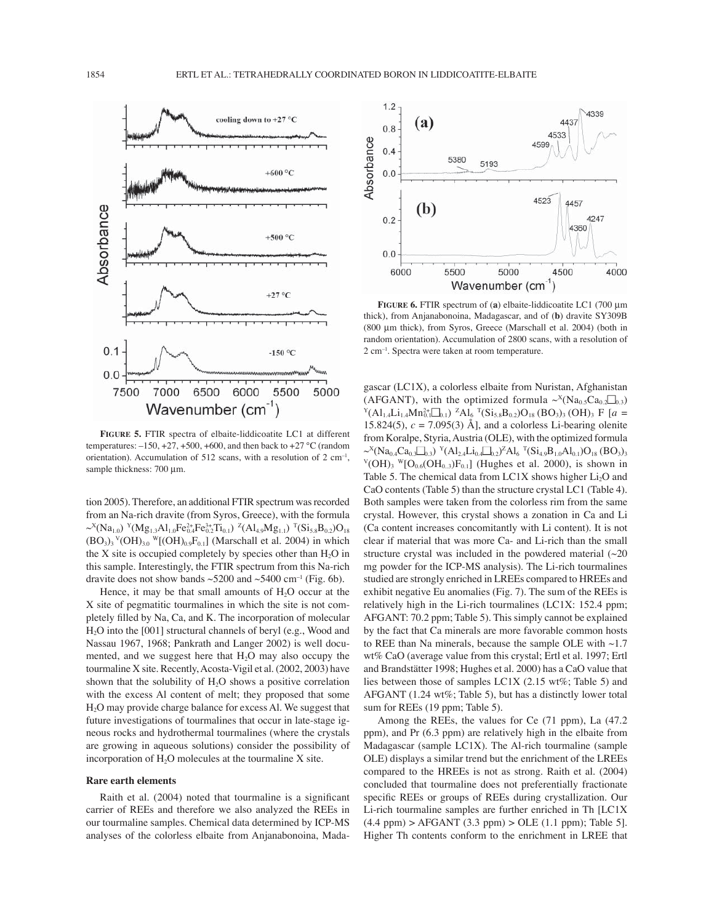

**FIGURE 5.** FTIR spectra of elbaite-liddicoatite LC1 at different temperatures:  $-150, +27, +500, +600$ , and then back to  $+27$  °C (random orientation). Accumulation of 512 scans, with a resolution of 2 cm<sup>-1</sup>, sample thickness: 700 μm.

tion 2005). Therefore, an additional FTIR spectrum was recorded from an Na-rich dravite (from Syros, Greece), with the formula  $\sim^X(Na_{1,0})$   $\rm{Y}(Mg_{1,3}Al_{1,0}Fe_{0,4}^{2+}Fe_{0,2}^{3+}Ti_{0,1})$   $\rm{Z}(Al_{4,9}Mg_{1,1})$   $\rm{T}(Si_{5,8}B_{0,2})O_{18}$  $(BO<sub>3</sub>)<sub>3</sub>$ <sup>V</sup>( $OH$ )<sub>3.0</sub><sup>W</sup>[ $(OH)_{0.9}F_{0.1}$ ] (Marschall et al. 2004) in which the X site is occupied completely by species other than  $H_2O$  in this sample. Interestingly, the FTIR spectrum from this Na-rich dravite does not show bands  $\sim$  5200 and  $\sim$  5400 cm<sup>-1</sup> (Fig. 6b).

Hence, it may be that small amounts of  $H_2O$  occur at the X site of pegmatitic tourmalines in which the site is not completely filled by Na, Ca, and K. The incorporation of molecular H2O into the [001] structural channels of beryl (e.g., Wood and Nassau 1967, 1968; Pankrath and Langer 2002) is well documented, and we suggest here that  $H_2O$  may also occupy the tourmaline X site. Recently, Acosta-Vigil et al. (2002, 2003) have shown that the solubility of  $H<sub>2</sub>O$  shows a positive correlation with the excess Al content of melt; they proposed that some H2O may provide charge balance for excess Al. We suggest that future investigations of tourmalines that occur in late-stage igneous rocks and hydrothermal tourmalines (where the crystals are growing in aqueous solutions) consider the possibility of incorporation of  $H<sub>2</sub>O$  molecules at the tourmaline X site.

# **Rare earth elements**

Raith et al.  $(2004)$  noted that tourmaline is a significant carrier of REEs and therefore we also analyzed the REEs in our tourmaline samples. Chemical data determined by ICP-MS analyses of the colorless elbaite from Anjanabonoina, Mada-



**FIGURE 6.** FTIR spectrum of (**a**) elbaite-liddicoatite LC1 (700 μm thick), from Anjanabonoina, Madagascar, and of (**b**) dravite SY309B (800 μm thick), from Syros, Greece (Marschall et al. 2004) (both in random orientation). Accumulation of 2800 scans, with a resolution of  $2 \text{ cm}^{-1}$ . Spectra were taken at room temperature.

gascar (LC1X), a colorless elbaite from Nuristan, Afghanistan  $(XFGANT)$ , with the optimized formula  $\sim^{X}(\text{Na}_{0.5}\text{Ca}_{0.2}\text{Ca}_{0.3})$ <br> $Y(\text{Al}_{1.4}\text{Li}_{1.4}\text{M}n_0^2 \cdot \text{Ca}_{0.1})$   $^Z\text{Al}_6$   $^T(\text{Si}_{5.8}\text{Ba}_{0.2})\text{O}_{18}$   $(\text{BO}_3)_3$   $(\text{OH})_3$  F  $[a=1]$ 15.824(5),  $c = 7.095(3)$  Å], and a colorless Li-bearing olenite from Koralpe, Styria, Austria (OLE), with the optimized formula  $\sim^X(Na_{0.4}Ca_{0.3}C_{0.3})$   $\rm Y(Al_{2.4}Li_{0.4}C_{0.2})^ZAl_6$   $\rm T(Si_{4.9}B_{1.0}Al_{0.1})O_{18}$  (BO<sub>3</sub>)<sub>3</sub>  $V(OH)_{3}$  W[O<sub>0.6</sub>(OH<sub>0.3</sub>)F<sub>0.1</sub>] (Hughes et al. 2000), is shown in Table 5. The chemical data from  $LC1X$  shows higher  $Li<sub>2</sub>O$  and CaO contents (Table 5) than the structure crystal LC1 (Table 4). Both samples were taken from the colorless rim from the same crystal. However, this crystal shows a zonation in Ca and Li (Ca content increases concomitantly with Li content). It is not clear if material that was more Ca- and Li-rich than the small structure crystal was included in the powdered material  $(\sim 20$ mg powder for the ICP-MS analysis). The Li-rich tourmalines studied are strongly enriched in LREEs compared to HREEs and exhibit negative Eu anomalies (Fig. 7). The sum of the REEs is relatively high in the Li-rich tourmalines (LC1X: 152.4 ppm; AFGANT: 70.2 ppm; Table 5). This simply cannot be explained by the fact that Ca minerals are more favorable common hosts to REE than Na minerals, because the sample OLE with ~1.7 wt% CaO (average value from this crystal; Ertl et al. 1997; Ertl and Brandstätter 1998; Hughes et al. 2000) has a CaO value that lies between those of samples LC1X (2.15 wt%; Table 5) and AFGANT (1.24 wt%; Table 5), but has a distinctly lower total sum for REEs (19 ppm; Table 5).

Among the REEs, the values for Ce (71 ppm), La (47.2 ppm), and Pr (6.3 ppm) are relatively high in the elbaite from Madagascar (sample LC1X). The Al-rich tourmaline (sample OLE) displays a similar trend but the enrichment of the LREEs compared to the HREEs is not as strong. Raith et al. (2004) concluded that tourmaline does not preferentially fractionate specific REEs or groups of REEs during crystallization. Our Li-rich tourmaline samples are further enriched in Th [LC1X  $(4.4 \text{ ppm}) > AFGANT (3.3 \text{ ppm}) > OLE (1.1 \text{ ppm})$ ; Table 5]. Higher Th contents conform to the enrichment in LREE that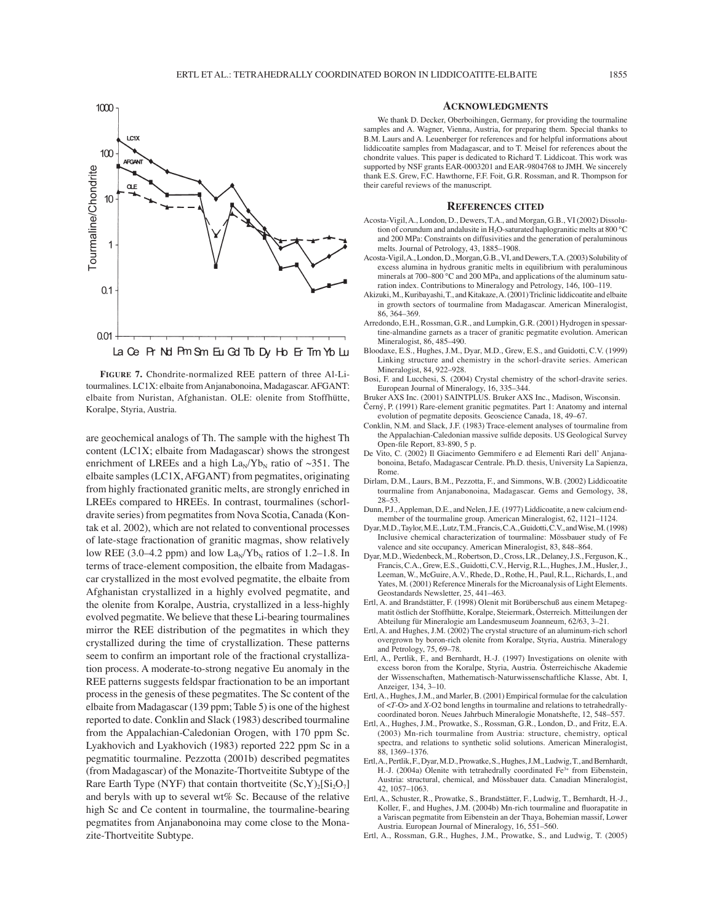

**FIGURE 7.** Chondrite-normalized REE pattern of three Al-Litourmalines. LC1X: elbaite from Anjanabonoina, Madagascar. AFGANT: elbaite from Nuristan, Afghanistan. OLE: olenite from Stoffhütte, Koralpe, Styria, Austria.

are geochemical analogs of Th. The sample with the highest Th content (LC1X; elbaite from Madagascar) shows the strongest enrichment of LREEs and a high  $\text{La}_{\text{N}}/\text{Yb}_{\text{N}}$  ratio of  $\sim$ 351. The elbaite samples (LC1X, AFGANT) from pegmatites, originating from highly fractionated granitic melts, are strongly enriched in LREEs compared to HREEs. In contrast, tourmalines (schorldravite series) from pegmatites from Nova Scotia, Canada (Kontak et al. 2002), which are not related to conventional processes of late-stage fractionation of granitic magmas, show relatively low REE (3.0–4.2 ppm) and low  $\text{La}_{N}/\text{Yb}_{N}$  ratios of 1.2–1.8. In terms of trace-element composition, the elbaite from Madagascar crystallized in the most evolved pegmatite, the elbaite from Afghanistan crystallized in a highly evolved pegmatite, and the olenite from Koralpe, Austria, crystallized in a less-highly evolved pegmatite. We believe that these Li-bearing tourmalines mirror the REE distribution of the pegmatites in which they crystallized during the time of crystallization. These patterns seem to confirm an important role of the fractional crystallization process. A moderate-to-strong negative Eu anomaly in the REE patterns suggests feldspar fractionation to be an important process in the genesis of these pegmatites. The Sc content of the elbaite from Madagascar (139 ppm; Table 5) is one of the highest reported to date. Conklin and Slack (1983) described tourmaline from the Appalachian-Caledonian Orogen, with 170 ppm Sc. Lyakhovich and Lyakhovich (1983) reported 222 ppm Sc in a pegmatitic tourmaline. Pezzotta (2001b) described pegmatites (from Madagascar) of the Monazite-Thortveitite Subtype of the Rare Earth Type (NYF) that contain thortveitite  $(Sc, Y)_{2}[Si_2O_7]$ and beryls with up to several wt% Sc. Because of the relative high Sc and Ce content in tourmaline, the tourmaline-bearing pegmatites from Anjanabonoina may come close to the Monazite-Thortveitite Subtype.

### **ACKNOWLEDGMENTS**

We thank D. Decker, Oberboihingen, Germany, for providing the tourmaline samples and A. Wagner, Vienna, Austria, for preparing them. Special thanks to B.M. Laurs and A. Leuenberger for references and for helpful informations about liddicoatite samples from Madagascar, and to T. Meisel for references about the chondrite values. This paper is dedicated to Richard T. Liddicoat. This work was supported by NSF grants EAR-0003201 and EAR-9804768 to JMH. We sincerely thank E.S. Grew, F.C. Hawthorne, F.F. Foit, G.R. Rossman, and R. Thompson for their careful reviews of the manuscript.

#### **REFERENCES CITED**

- Acosta-Vigil, A., London, D., Dewers, T.A., and Morgan, G.B., VI (2002) Dissolution of corundum and andalusite in H<sub>2</sub>O-saturated haplogranitic melts at 800 °C and 200 MPa: Constraints on diffusivities and the generation of peraluminous melts. Journal of Petrology, 43, 1885-1908.
- Acosta-Vigil, A., London, D., Morgan, G.B., VI, and Dewers, T.A. (2003) Solubility of excess alumina in hydrous granitic melts in equilibrium with peraluminous minerals at 700–800 °C and 200 MPa, and applications of the aluminum saturation index. Contributions to Mineralogy and Petrology, 146, 100-119.
- Akizuki, M., Kuribayashi, T., and Kitakaze, A. (2001) Triclinic liddicoatite and elbaite in growth sectors of tourmaline from Madagascar. American Mineralogist, 86, 364–369
- Arredondo, E.H., Rossman, G.R., and Lumpkin, G.R. (2001) Hydrogen in spessartine-almandine garnets as a tracer of granitic pegmatite evolution. American Mineralogist, 86, 485-490.
- Bloodaxe, E.S., Hughes, J.M., Dyar, M.D., Grew, E.S., and Guidotti, C.V. (1999) Linking structure and chemistry in the schorl-dravite series. American Mineralogist, 84, 922-928.
- Bosi, F. and Lucchesi, S. (2004) Crystal chemistry of the schorl-dravite series. European Journal of Mineralogy, 16, 335-344.
- Bruker AXS Inc. (2001) SAINTPLUS. Bruker AXS Inc., Madison, Wisconsin.
- Černý, P. (1991) Rare-element granitic pegmatites. Part 1: Anatomy and internal evolution of pegmatite deposits. Geoscience Canada, 18, 49-67.
- Conklin, N.M. and Slack, J.F. (1983) Trace-element analyses of tourmaline from the Appalachian-Caledonian massive sulfide deposits. US Geological Survey Open-file Report, 83-890, 5 p.
- De Vito, C. (2002) Il Giacimento Gemmifero e ad Elementi Rari dell' Anjanabonoina, Betafo, Madagascar Centrale. Ph.D. thesis, University La Sapienza, Rome.
- Dirlam, D.M., Laurs, B.M., Pezzotta, F., and Simmons, W.B. (2002) Liddicoatite tourmaline from Anjanabonoina, Madagascar. Gems and Gemology, 38, 28-53
- Dunn, P.J., Appleman, D.E., and Nelen, J.E. (1977) Liddicoatite, a new calcium endmember of the tourmaline group. American Mineralogist, 62, 1121-1124.
- Dyar, M.D., Taylor, M.E., Lutz, T.M., Francis, C.A., Guidotti, C.V., and Wise, M. (1998) Inclusive chemical characterization of tourmaline: Mössbauer study of Fe valence and site occupancy. American Mineralogist, 83, 848-864.
- Dyar, M.D., Wiedenbeck, M., Robertson, D., Cross, LR., Delaney, J.S., Ferguson, K., Francis, C.A., Grew, E.S., Guidotti, C.V., Hervig, R.L., Hughes, J.M., Husler, J., Leeman, W., McGuire, A.V., Rhede, D., Rothe, H., Paul, R.L., Richards, I., and Yates, M. (2001) Reference Minerals for the Microanalysis of Light Elements. Geostandards Newsletter, 25, 441-463.
- Ertl, A. and Brandstätter, F. (1998) Olenit mit Borüberschuß aus einem Metapegmatit östlich der Stoffhütte, Koralpe, Steiermark, Österreich. Mitteilungen der Abteilung für Mineralogie am Landesmuseum Joanneum, 62/63, 3-21.
- Ertl, A. and Hughes, J.M. (2002) The crystal structure of an aluminum-rich schorl overgrown by boron-rich olenite from Koralpe, Styria, Austria. Mineralogy and Petrology,  $75, 69-78$ .
- Ertl, A., Pertlik, F., and Bernhardt, H.-J. (1997) Investigations on olenite with excess boron from the Koralpe, Styria, Austria. Österreichische Akademie der Wissenschaften, Mathematisch-Naturwissenschaftliche Klasse, Abt. I, Anzeiger, 134, 3-10.
- Ertl, A., Hughes, J.M., and Marler, B. (2001) Empirical formulae for the calculation of <*T*-O> and *X*-O2 bond lengths in tourmaline and relations to tetrahedrallycoordinated boron. Neues Jahrbuch Mineralogie Monatshefte, 12, 548–557.
- Ertl, A., Hughes, J.M., Prowatke, S., Rossman, G.R., London, D., and Fritz, E.A. (2003) Mn-rich tourmaline from Austria: structure, chemistry, optical spectra, and relations to synthetic solid solutions. American Mineralogist, 88, 1369-1376.
- Ertl, A., Pertlik, F., Dyar, M.D., Prowatke, S., Hughes, J.M., Ludwig, T., and Bernhardt, H.-J. (2004a) Olenite with tetrahedrally coordinated Fe<sup>3+</sup> from Eibenstein, Austria: structural, chemical, and Mössbauer data. Canadian Mineralogist, 42, 1057-1063.
- Ertl, A., Schuster, R., Prowatke, S., Brandstätter, F., Ludwig, T., Bernhardt, H.-J., Koller, F., and Hughes, J.M. (2004b) Mn-rich tourmaline and fluorapatite in a Variscan pegmatite from Eibenstein an der Thaya, Bohemian massif, Lower Austria. European Journal of Mineralogy, 16, 551-560.
- Ertl, A., Rossman, G.R., Hughes, J.M., Prowatke, S., and Ludwig, T. (2005)